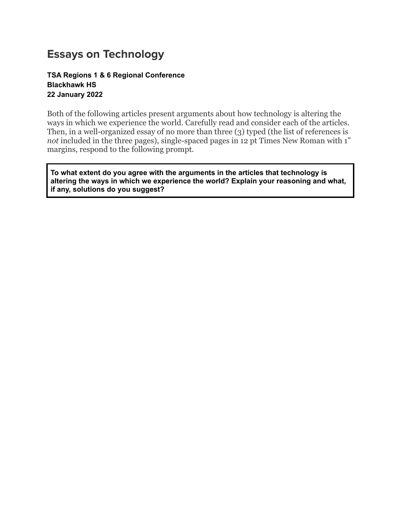### **Essays on Technology**

#### **TSA Regions 1 & 6 Regional Conference Blackhawk HS 22 January 2022**

Both of the following articles present arguments about how technology is altering the ways in which we experience the world. Carefully read and consider each of the articles. Then, in a well-organized essay of no more than three (3) typed (the list of references is *not* included in the three pages), single-spaced pages in 12 pt Times New Roman with 1" margins, respond to the following prompt.

**To what extent do you agree with the arguments in the articles that technology is altering the ways in which we experience the world? Explain your reasoning and what, if any, solutions do you suggest?**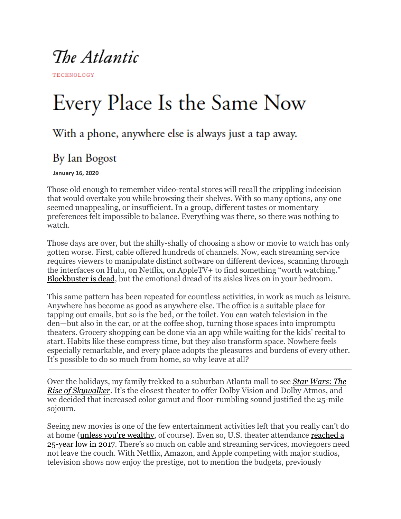### The Atlantic

**TECHNOLOGY** 

## Every Place Is the Same Now

### With a phone, anywhere else is always just a tap away.

### By Ian Bogost

**January 16, 2020**

Those old enough to remember video-rental stores will recall the crippling indecision that would overtake you while browsing their shelves. With so many options, any one seemed unappealing, or insufficient. In a group, different tastes or momentary preferences felt impossible to balance. Everything was there, so there was nothing to watch.

Those days are over, but the shilly-shally of choosing a show or movie to watch has only gotten worse. First, cable offered hundreds of channels. Now, each streaming service requires viewers to manipulate distinct software on different devices, scanning through the interfaces on Hulu, on Netflix, on AppleTV+ to find something "worth watching." [Blockbuster is dead](https://www.theatlantic.com/technology/archive/2013/11/i-loved-you-blockbuster/281213/), but the emotional dread of its aisles lives on in your bedroom.

This same pattern has been repeated for countless activities, in work as much as leisure. Anywhere has become as good as anywhere else. The office is a suitable place for tapping out emails, but so is the bed, or the toilet. You can watch television in the den—but also in the car, or at the coffee shop, turning those spaces into impromptu theaters. Grocery shopping can be done via an app while waiting for the kids' recital to start. Habits like these compress time, but they also transform space. Nowhere feels especially remarkable, and every place adopts the pleasures and burdens of every other. It's possible to do so much from home, so why leave at all?

Over the holidays, my family trekked to a suburban Atlanta mall to see *[Star Wars](https://www.theatlantic.com/entertainment/archive/2019/12/star-wars-the-rise-of-skywalker-review/603790/)*: *The [Rise of Skywalker](https://www.theatlantic.com/entertainment/archive/2019/12/star-wars-the-rise-of-skywalker-review/603790/)*. It's the closest theater to offer Dolby Vision and Dolby Atmos, and we decided that increased color gamut and floor-rumbling sound justified the 25-mile sojourn.

Seeing new movies is one of the few entertainment activities left that you really can't do at home [\(unless you're wealthy,](https://www.engadget.com/2019/04/08/red-carpet-films-first-run-movie-rentals/) of course). Even so, U.S. theater attendance [reached a](https://www.theverge.com/2018/1/3/16844662/movie-theater-attendance-2017-low-netflix-streaming) [25-year low in 2017](https://www.theverge.com/2018/1/3/16844662/movie-theater-attendance-2017-low-netflix-streaming). There's so much on cable and streaming services, moviegoers need not leave the couch. With Netflix, Amazon, and Apple competing with major studios, television shows now enjoy the prestige, not to mention the budgets, previously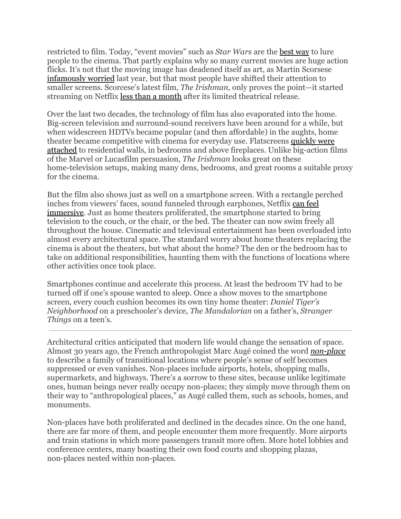restricted to film. Today, "event movies" such as *Star Wars* are the [best way](https://www.whitehutchinson.com/news/lenews/2019/february/article105.shtml) to lure people to the cinema. That partly explains why so many current movies are huge action flicks. It's not that the moving image has deadened itself as art, as Martin Scorsese [infamously worried](https://www.nytimes.com/2019/11/04/opinion/martin-scorsese-marvel.html) last year, but that most people have shifted their attention to smaller screens. Scorcese's latest film, *The Irishman*, only proves the point—it started streaming on Netflix [less than a month](https://www.hollywoodreporter.com/news/netflix-forgoes-wide-release-martin-scorseses-irishman-1234382) after its limited theatrical release.

Over the last two decades, the technology of film has also evaporated into the home. Big-screen television and surround-sound receivers have been around for a while, but when widescreen HDTVs became popular (and then affordable) in the aughts, home theater became competitive with cinema for everyday use. Flatscreens [quickly were](https://www.adweek.com/brand-marketing/hdtv-adoption-rises-105840/) [attached](https://www.adweek.com/brand-marketing/hdtv-adoption-rises-105840/) to residential walls, in bedrooms and above fireplaces. Unlike big-action films of the Marvel or Lucasfilm persuasion, *The Irishman* looks great on these home-television setups, making many dens, bedrooms, and great rooms a suitable proxy for the cinema.

But the film also shows just as well on a smartphone screen. With a rectangle perched inches from viewers' faces, sound funneled through earphones, Netflix [can feel](https://nationalpost.com/entertainment/movies/small-screen-big-pleasures-why-its-not-so-bad-to-watch-a-movie-on-your-phone) [immersive.](https://nationalpost.com/entertainment/movies/small-screen-big-pleasures-why-its-not-so-bad-to-watch-a-movie-on-your-phone) Just as home theaters proliferated, the smartphone started to bring television to the couch, or the chair, or the bed. The theater can now swim freely all throughout the house. Cinematic and televisual entertainment has been overloaded into almost every architectural space. The standard worry about home theaters replacing the cinema is about the theaters, but what about the home? The den or the bedroom has to take on additional responsibilities, haunting them with the functions of locations where other activities once took place.

Smartphones continue and accelerate this process. At least the bedroom TV had to be turned off if one's spouse wanted to sleep. Once a show moves to the smartphone screen, every couch cushion becomes its own tiny home theater: *Daniel Tiger's Neighborhood* on a preschooler's device, *The Mandalorian* on a father's, *Stranger Things* on a teen's.

Architectural critics anticipated that modern life would change the sensation of space. Almost 30 years ago, the French anthropologist Marc Augé coined the word *[non-place](https://www.versobooks.com/books/360-non-places)* to describe a family of transitional locations where people's sense of self becomes suppressed or even vanishes. Non-places include airports, hotels, shopping malls, supermarkets, and highways. There's a sorrow to these sites, because unlike legitimate ones, human beings never really occupy non-places; they simply move through them on their way to "anthropological places," as Augé called them, such as schools, homes, and monuments.

Non-places have both proliferated and declined in the decades since. On the one hand, there are far more of them, and people encounter them more frequently. More airports and train stations in which more passengers transit more often. More hotel lobbies and conference centers, many boasting their own food courts and shopping plazas, non-places nested within non-places.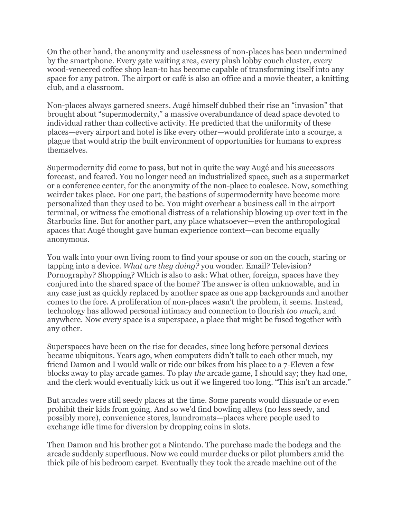On the other hand, the anonymity and uselessness of non-places has been undermined by the smartphone. Every gate waiting area, every plush lobby couch cluster, every wood-veneered coffee shop lean-to has become capable of transforming itself into any space for any patron. The airport or café is also an office and a movie theater, a knitting club, and a classroom.

Non-places always garnered sneers. Augé himself dubbed their rise an "invasion" that brought about "supermodernity," a massive overabundance of dead space devoted to individual rather than collective activity. He predicted that the uniformity of these places—every airport and hotel is like every other—would proliferate into a scourge, a plague that would strip the built environment of opportunities for humans to express themselves.

Supermodernity did come to pass, but not in quite the way Augé and his successors forecast, and feared. You no longer need an industrialized space, such as a supermarket or a conference center, for the anonymity of the non-place to coalesce. Now, something weirder takes place. For one part, the bastions of supermodernity have become more personalized than they used to be. You might overhear a business call in the airport terminal, or witness the emotional distress of a relationship blowing up over text in the Starbucks line. But for another part, any place whatsoever—even the anthropological spaces that Augé thought gave human experience context—can become equally anonymous.

You walk into your own living room to find your spouse or son on the couch, staring or tapping into a device. *What are they doing?* you wonder. Email? Television? Pornography? Shopping? Which is also to ask: What other, foreign, spaces have they conjured into the shared space of the home? The answer is often unknowable, and in any case just as quickly replaced by another space as one app backgrounds and another comes to the fore. A proliferation of non-places wasn't the problem, it seems. Instead, technology has allowed personal intimacy and connection to flourish *too much*, and anywhere. Now every space is a superspace, a place that might be fused together with any other.

Superspaces have been on the rise for decades, since long before personal devices became ubiquitous. Years ago, when computers didn't talk to each other much, my friend Damon and I would walk or ride our bikes from his place to a 7-Eleven a few blocks away to play arcade games. To play *the* arcade game, I should say; they had one, and the clerk would eventually kick us out if we lingered too long. "This isn't an arcade."

But arcades were still seedy places at the time. Some parents would dissuade or even prohibit their kids from going. And so we'd find bowling alleys (no less seedy, and possibly more), convenience stores, laundromats—places where people used to exchange idle time for diversion by dropping coins in slots.

Then Damon and his brother got a Nintendo. The purchase made the bodega and the arcade suddenly superfluous. Now we could murder ducks or pilot plumbers amid the thick pile of his bedroom carpet. Eventually they took the arcade machine out of the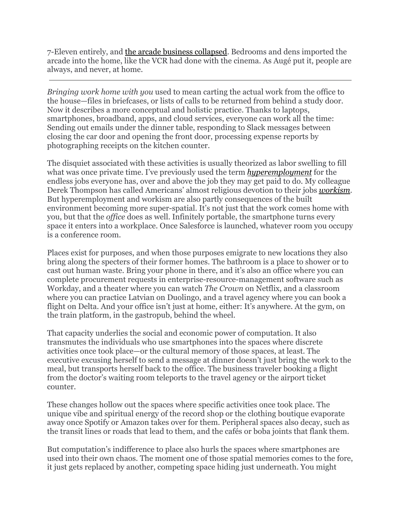7-Eleven entirely, and [the arcade business collapsed.](https://www.theverge.com/2013/1/16/3740422/the-life-and-death-of-the-american-arcade-for-amusement-only) Bedrooms and dens imported the arcade into the home, like the VCR had done with the cinema. As Augé put it, people are always, and never, at home.

*Bringing work home with you* used to mean carting the actual work from the office to the house—files in briefcases, or lists of calls to be returned from behind a study door. Now it describes a more conceptual and holistic practice. Thanks to laptops, smartphones, broadband, apps, and cloud services, everyone can work all the time: Sending out emails under the dinner table, responding to Slack messages between closing the car door and opening the front door, processing expense reports by photographing receipts on the kitchen counter.

The disquiet associated with these activities is usually theorized as labor swelling to fill what was once private time. I've previously used the term *[hyperemployment](https://www.google.com/search?client=safari&rls=en&q=hyperemployment+bogost&ie=UTF-8&oe=UTF-8)* for the endless jobs everyone has, over and above the job they may get paid to do. My colleague Derek Thompson has called Americans' almost religious devotion to their jobs *[workism](https://www.theatlantic.com/ideas/archive/2019/02/religion-workism-making-americans-miserable/583441/)*. But hyperemployment and workism are also partly consequences of the built environment becoming more super-spatial. It's not just that the work comes home with you, but that the *office* does as well. Infinitely portable, the smartphone turns every space it enters into a workplace. Once Salesforce is launched, whatever room you occupy is a conference room.

Places exist for purposes, and when those purposes emigrate to new locations they also bring along the specters of their former homes. The bathroom is a place to shower or to cast out human waste. Bring your phone in there, and it's also an office where you can complete procurement requests in enterprise-resource-management software such as Workday, and a theater where you can watch *The Crown* on Netflix, and a classroom where you can practice Latvian on Duolingo, and a travel agency where you can book a flight on Delta. And your office isn't just at home, either: It's anywhere. At the gym, on the train platform, in the gastropub, behind the wheel.

That capacity underlies the social and economic power of computation. It also transmutes the individuals who use smartphones into the spaces where discrete activities once took place—or the cultural memory of those spaces, at least. The executive excusing herself to send a message at dinner doesn't just bring the work to the meal, but transports herself back to the office. The business traveler booking a flight from the doctor's waiting room teleports to the travel agency or the airport ticket counter.

These changes hollow out the spaces where specific activities once took place. The unique vibe and spiritual energy of the record shop or the clothing boutique evaporate away once Spotify or Amazon takes over for them. Peripheral spaces also decay, such as the transit lines or roads that lead to them, and the cafés or boba joints that flank them.

But computation's indifference to place also hurls the spaces where smartphones are used into their own chaos. The moment one of those spatial memories comes to the fore, it just gets replaced by another, competing space hiding just underneath. You might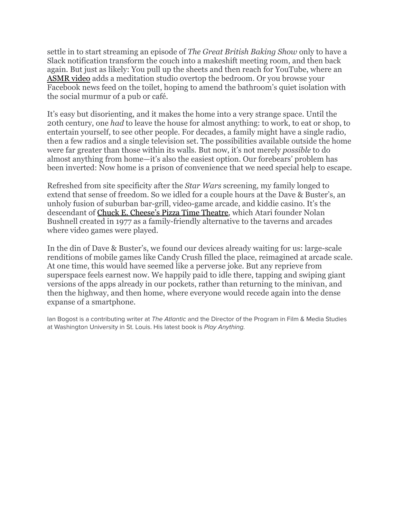settle in to start streaming an episode of *The Great British Baking Show* only to have a Slack notification transform the couch into a makeshift meeting room, and then back again. But just as likely: You pull up the sheets and then reach for YouTube, where an [ASMR video](https://www.theatlantic.com/health/archive/2016/07/the-emotional-labor-of-asmr/490811/) adds a meditation studio overtop the bedroom. Or you browse your Facebook news feed on the toilet, hoping to amend the bathroom's quiet isolation with the social murmur of a pub or café.

It's easy but disorienting, and it makes the home into a very strange space. Until the 20th century, one *had* to leave the house for almost anything: to work, to eat or shop, to entertain yourself, to see other people. For decades, a family might have a single radio, then a few radios and a single television set. The possibilities available outside the home were far greater than those within its walls. But now, it's not merely *possible* to do almost anything from home—it's also the easiest option. Our forebears' problem has been inverted: Now home is a prison of convenience that we need special help to escape.

Refreshed from site specificity after the *Star Wars* screening, my family longed to extend that sense of freedom. So we idled for a couple hours at the Dave & Buster's, an unholy fusion of suburban bar-grill, video-game arcade, and kiddie casino. It's the descendant of [Chuck E. Cheese's Pizza Time Theatre,](https://www.vice.com/en_us/article/9kkn7y/a-history-of-chuck-e-cheeses-animatronic-band) which Atari founder Nolan Bushnell created in 1977 as a family-friendly alternative to the taverns and arcades where video games were played.

In the din of Dave & Buster's, we found our devices already waiting for us: large-scale renditions of mobile games like Candy Crush filled the place, reimagined at arcade scale. At one time, this would have seemed like a perverse joke. But any reprieve from superspace feels earnest now. We happily paid to idle there, tapping and swiping giant versions of the apps already in our pockets, rather than returning to the minivan, and then the highway, and then home, where everyone would recede again into the dense expanse of a smartphone.

Ian Bogost is a contributing writer at The Atlantic and the Director of the Program in Film & Media Studies at Washington University in St. Louis. His latest book is Play Anything.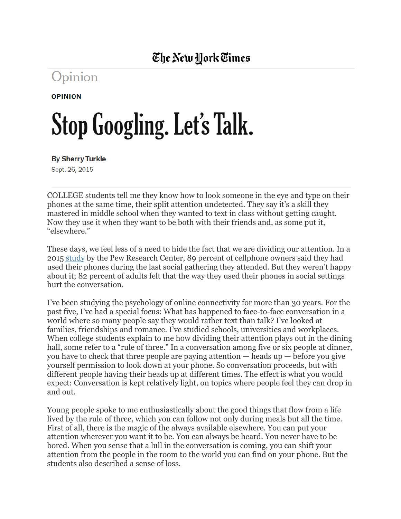Opinion

**OPINION** 

# Stop Googling. Let's Talk.

**By Sherry Turkle** Sept. 26, 2015

COLLEGE students tell me they know how to look someone in the eye and type on their phones at the same time, their split attention undetected. They say it's a skill they mastered in middle school when they wanted to text in class without getting caught. Now they use it when they want to be both with their friends and, as some put it, "elsewhere."

These days, we feel less of a need to hide the fact that we are dividing our attention. In a 2015 [study](http://www.pewinternet.org/files/2015/08/2015-08-26_mobile-etiquette_FINAL.pdf) by the Pew Research Center, 89 percent of cellphone owners said they had used their phones during the last social gathering they attended. But they weren't happy about it; 82 percent of adults felt that the way they used their phones in social settings hurt the conversation.

I've been studying the psychology of online connectivity for more than 30 years. For the past five, I've had a special focus: What has happened to face-to-face conversation in a world where so many people say they would rather text than talk? I've looked at families, friendships and romance. I've studied schools, universities and workplaces. When college students explain to me how dividing their attention plays out in the dining hall, some refer to a "rule of three." In a conversation among five or six people at dinner, you have to check that three people are paying attention — heads up — before you give yourself permission to look down at your phone. So conversation proceeds, but with different people having their heads up at different times. The effect is what you would expect: Conversation is kept relatively light, on topics where people feel they can drop in and out.

Young people spoke to me enthusiastically about the good things that flow from a life lived by the rule of three, which you can follow not only during meals but all the time. First of all, there is the magic of the always available elsewhere. You can put your attention wherever you want it to be. You can always be heard. You never have to be bored. When you sense that a lull in the conversation is coming, you can shift your attention from the people in the room to the world you can find on your phone. But the students also described a sense of loss.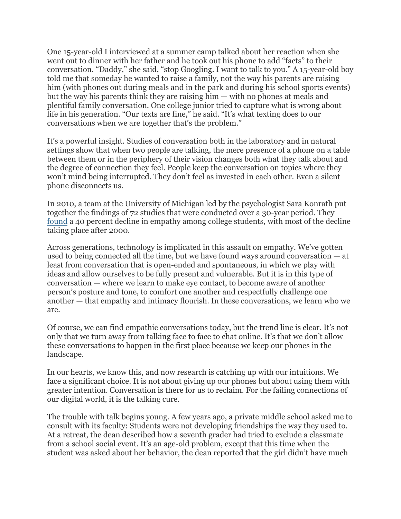One 15-year-old I interviewed at a summer camp talked about her reaction when she went out to dinner with her father and he took out his phone to add "facts" to their conversation. "Daddy," she said, "stop Googling. I want to talk to you." A 15-year-old boy told me that someday he wanted to raise a family, not the way his parents are raising him (with phones out during meals and in the park and during his school sports events) but the way his parents think they are raising him — with no phones at meals and plentiful family conversation. One college junior tried to capture what is wrong about life in his generation. "Our texts are fine," he said. "It's what texting does to our conversations when we are together that's the problem."

It's a powerful insight. Studies of conversation both in the laboratory and in natural settings show that when two people are talking, the mere presence of a phone on a table between them or in the periphery of their vision changes both what they talk about and the degree of connection they feel. People keep the conversation on topics where they won't mind being interrupted. They don't feel as invested in each other. Even a silent phone disconnects us.

In 2010, a team at the University of Michigan led by the psychologist Sara Konrath put together the findings of 72 studies that were conducted over a 30-year period. They [found](http://www.ipearlab.org/media/publications/Changes_in_Dispositional_Empathy_-_Sara_Konrath.pdf) a 40 percent decline in empathy among college students, with most of the decline taking place after 2000.

Across generations, technology is implicated in this assault on empathy. We've gotten used to being connected all the time, but we have found ways around conversation — at least from conversation that is open-ended and spontaneous, in which we play with ideas and allow ourselves to be fully present and vulnerable. But it is in this type of conversation — where we learn to make eye contact, to become aware of another person's posture and tone, to comfort one another and respectfully challenge one another — that empathy and intimacy flourish. In these conversations, we learn who we are.

Of course, we can find empathic conversations today, but the trend line is clear. It's not only that we turn away from talking face to face to chat online. It's that we don't allow these conversations to happen in the first place because we keep our phones in the landscape.

In our hearts, we know this, and now research is catching up with our intuitions. We face a significant choice. It is not about giving up our phones but about using them with greater intention. Conversation is there for us to reclaim. For the failing connections of our digital world, it is the talking cure.

The trouble with talk begins young. A few years ago, a private middle school asked me to consult with its faculty: Students were not developing friendships the way they used to. At a retreat, the dean described how a seventh grader had tried to exclude a classmate from a school social event. It's an age-old problem, except that this time when the student was asked about her behavior, the dean reported that the girl didn't have much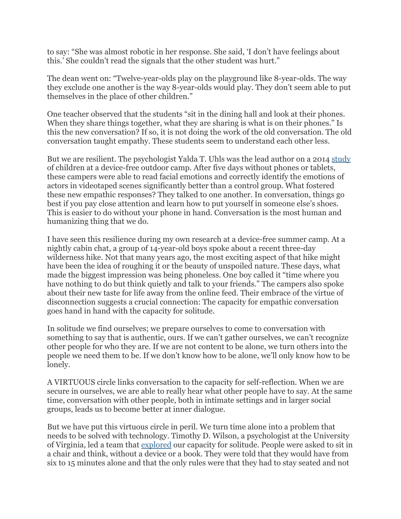to say: "She was almost robotic in her response. She said, 'I don't have feelings about this.' She couldn't read the signals that the other student was hurt."

The dean went on: "Twelve-year-olds play on the playground like 8-year-olds. The way they exclude one another is the way 8-year-olds would play. They don't seem able to put themselves in the place of other children."

One teacher observed that the students "sit in the dining hall and look at their phones. When they share things together, what they are sharing is what is on their phones." Is this the new conversation? If so, it is not doing the work of the old conversation. The old conversation taught empathy. These students seem to understand each other less.

But we are resilient. The psychologist Yalda T. Uhls was the lead author on a 2014 [study](http://www.sciencedirect.com/science/article/pii/S0747563214003227) of children at a device-free outdoor camp. After five days without phones or tablets, these campers were able to read facial emotions and correctly identify the emotions of actors in videotaped scenes significantly better than a control group. What fostered these new empathic responses? They talked to one another. In conversation, things go best if you pay close attention and learn how to put yourself in someone else's shoes. This is easier to do without your phone in hand. Conversation is the most human and humanizing thing that we do.

I have seen this resilience during my own research at a device-free summer camp. At a nightly cabin chat, a group of 14-year-old boys spoke about a recent three-day wilderness hike. Not that many years ago, the most exciting aspect of that hike might have been the idea of roughing it or the beauty of unspoiled nature. These days, what made the biggest impression was being phoneless. One boy called it "time where you have nothing to do but think quietly and talk to your friends." The campers also spoke about their new taste for life away from the online feed. Their embrace of the virtue of disconnection suggests a crucial connection: The capacity for empathic conversation goes hand in hand with the capacity for solitude.

In solitude we find ourselves; we prepare ourselves to come to conversation with something to say that is authentic, ours. If we can't gather ourselves, we can't recognize other people for who they are. If we are not content to be alone, we turn others into the people we need them to be. If we don't know how to be alone, we'll only know how to be lonely.

A VIRTUOUS circle links conversation to the capacity for self-reflection. When we are secure in ourselves, we are able to really hear what other people have to say. At the same time, conversation with other people, both in intimate settings and in larger social groups, leads us to become better at inner dialogue.

But we have put this virtuous circle in peril. We turn time alone into a problem that needs to be solved with technology. Timothy D. Wilson, a psychologist at the University of Virginia, led a team that [explored](http://www.ncbi.nlm.nih.gov/pmc/articles/PMC4330241/) our capacity for solitude. People were asked to sit in a chair and think, without a device or a book. They were told that they would have from six to 15 minutes alone and that the only rules were that they had to stay seated and not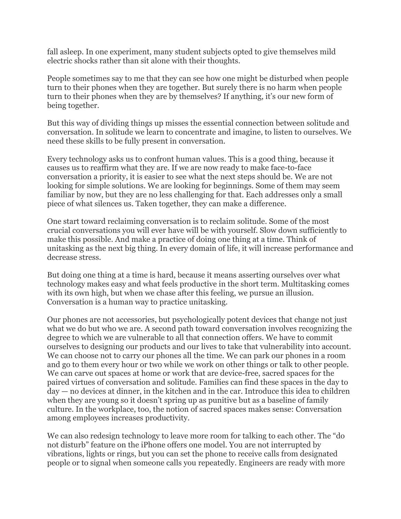fall asleep. In one experiment, many student subjects opted to give themselves mild electric shocks rather than sit alone with their thoughts.

People sometimes say to me that they can see how one might be disturbed when people turn to their phones when they are together. But surely there is no harm when people turn to their phones when they are by themselves? If anything, it's our new form of being together.

But this way of dividing things up misses the essential connection between solitude and conversation. In solitude we learn to concentrate and imagine, to listen to ourselves. We need these skills to be fully present in conversation.

Every technology asks us to confront human values. This is a good thing, because it causes us to reaffirm what they are. If we are now ready to make face-to-face conversation a priority, it is easier to see what the next steps should be. We are not looking for simple solutions. We are looking for beginnings. Some of them may seem familiar by now, but they are no less challenging for that. Each addresses only a small piece of what silences us. Taken together, they can make a difference.

One start toward reclaiming conversation is to reclaim solitude. Some of the most crucial conversations you will ever have will be with yourself. Slow down sufficiently to make this possible. And make a practice of doing one thing at a time. Think of unitasking as the next big thing. In every domain of life, it will increase performance and decrease stress.

But doing one thing at a time is hard, because it means asserting ourselves over what technology makes easy and what feels productive in the short term. Multitasking comes with its own high, but when we chase after this feeling, we pursue an illusion. Conversation is a human way to practice unitasking.

Our phones are not accessories, but psychologically potent devices that change not just what we do but who we are. A second path toward conversation involves recognizing the degree to which we are vulnerable to all that connection offers. We have to commit ourselves to designing our products and our lives to take that vulnerability into account. We can choose not to carry our phones all the time. We can park our phones in a room and go to them every hour or two while we work on other things or talk to other people. We can carve out spaces at home or work that are device-free, sacred spaces for the paired virtues of conversation and solitude. Families can find these spaces in the day to day — no devices at dinner, in the kitchen and in the car. Introduce this idea to children when they are young so it doesn't spring up as punitive but as a baseline of family culture. In the workplace, too, the notion of sacred spaces makes sense: Conversation among employees increases productivity.

We can also redesign technology to leave more room for talking to each other. The "do not disturb" feature on the iPhone offers one model. You are not interrupted by vibrations, lights or rings, but you can set the phone to receive calls from designated people or to signal when someone calls you repeatedly. Engineers are ready with more